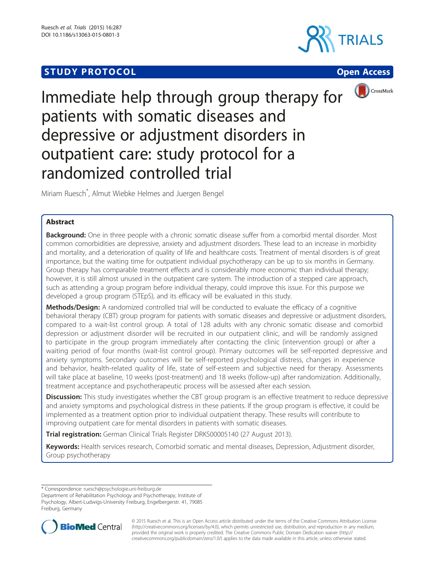# **STUDY PROTOCOL** CONTROL CONTROL CONTROL CONTROL CONTROL CONTROL CONTROL CONTROL CONTROL CONTROL CONTROL CONTROL CONTROL CONTROL CONTROL CONTROL CONTROL CONTROL CONTROL CONTROL CONTROL CONTROL CONTROL CONTROL CONTROL CONTR







# Immediate help through group therapy for patients with somatic diseases and depressive or adjustment disorders in outpatient care: study protocol for a randomized controlled trial

Miriam Ruesch\* , Almut Wiebke Helmes and Juergen Bengel

# Abstract

**Background:** One in three people with a chronic somatic disease suffer from a comorbid mental disorder. Most common comorbidities are depressive, anxiety and adjustment disorders. These lead to an increase in morbidity and mortality, and a deterioration of quality of life and healthcare costs. Treatment of mental disorders is of great importance, but the waiting time for outpatient individual psychotherapy can be up to six months in Germany. Group therapy has comparable treatment effects and is considerably more economic than individual therapy; however, it is still almost unused in the outpatient care system. The introduction of a stepped care approach, such as attending a group program before individual therapy, could improve this issue. For this purpose we developed a group program (STEpS), and its efficacy will be evaluated in this study.

Methods/Design: A randomized controlled trial will be conducted to evaluate the efficacy of a cognitive behavioral therapy (CBT) group program for patients with somatic diseases and depressive or adjustment disorders, compared to a wait-list control group. A total of 128 adults with any chronic somatic disease and comorbid depression or adjustment disorder will be recruited in our outpatient clinic, and will be randomly assigned to participate in the group program immediately after contacting the clinic (intervention group) or after a waiting period of four months (wait-list control group). Primary outcomes will be self-reported depressive and anxiety symptoms. Secondary outcomes will be self-reported psychological distress, changes in experience and behavior, health-related quality of life, state of self-esteem and subjective need for therapy. Assessments will take place at baseline, 10 weeks (post-treatment) and 18 weeks (follow-up) after randomization. Additionally, treatment acceptance and psychotherapeutic process will be assessed after each session.

**Discussion:** This study investigates whether the CBT group program is an effective treatment to reduce depressive and anxiety symptoms and psychological distress in these patients. If the group program is effective, it could be implemented as a treatment option prior to individual outpatient therapy. These results will contribute to improving outpatient care for mental disorders in patients with somatic diseases.

Trial registration: German Clinical Trials Register [DRKS00005140](http://drks-neu.uniklinik-freiburg.de/drks_web/setLocale_EN.do) (27 August 2013).

Keywords: Health services research, Comorbid somatic and mental diseases, Depression, Adjustment disorder, Group psychotherapy

Department of Rehabilitation Psychology and Psychotherapy, Institute of Psychology, Albert-Ludwigs-University Freiburg, Engelbergerstr. 41, 79085

Freiburg, Germany



© 2015 Ruesch et al. This is an Open Access article distributed under the terms of the Creative Commons Attribution License [\(http://creativecommons.org/licenses/by/4.0\)](http://creativecommons.org/licenses/by/4.0), which permits unrestricted use, distribution, and reproduction in any medium, provided the original work is properly credited. The Creative Commons Public Domain Dedication waiver [\(http://](http://creativecommons.org/publicdomain/zero/1.0/) [creativecommons.org/publicdomain/zero/1.0/\)](http://creativecommons.org/publicdomain/zero/1.0/) applies to the data made available in this article, unless otherwise stated.

<sup>\*</sup> Correspondence: [ruesch@psychologie.uni-freiburg.de](mailto:ruesch@psychologie.uni-freiburg.de)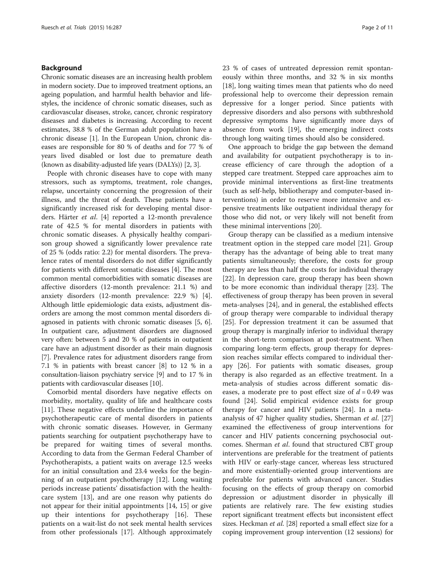### Background

Chronic somatic diseases are an increasing health problem in modern society. Due to improved treatment options, an ageing population, and harmful health behavior and lifestyles, the incidence of chronic somatic diseases, such as cardiovascular diseases, stroke, cancer, chronic respiratory diseases and diabetes is increasing. According to recent estimates, 38.8 % of the German adult population have a chronic disease [[1\]](#page-9-0). In the European Union, chronic diseases are responsible for 80 % of deaths and for 77 % of years lived disabled or lost due to premature death (known as disability-adjusted life years (DALYs)) [\[2](#page-9-0), [3\]](#page-9-0).

People with chronic diseases have to cope with many stressors, such as symptoms, treatment, role changes, relapse, uncertainty concerning the progression of their illness, and the threat of death. These patients have a significantly increased risk for developing mental disorders. Härter et al. [\[4](#page-9-0)] reported a 12-month prevalence rate of 42.5 % for mental disorders in patients with chronic somatic diseases. A physically healthy comparison group showed a significantly lower prevalence rate of 25 % (odds ratio: 2.2) for mental disorders. The prevalence rates of mental disorders do not differ significantly for patients with different somatic diseases [[4\]](#page-9-0). The most common mental comorbidities with somatic diseases are affective disorders (12-month prevalence: 21.1 %) and anxiety disorders (12-month prevalence: 22.9 %) [\[4](#page-9-0)]. Although little epidemiologic data exists, adjustment disorders are among the most common mental disorders diagnosed in patients with chronic somatic diseases [[5](#page-9-0), [6](#page-9-0)]. In outpatient care, adjustment disorders are diagnosed very often: between 5 and 20 % of patients in outpatient care have an adjustment disorder as their main diagnosis [[7\]](#page-9-0). Prevalence rates for adjustment disorders range from 7.1 % in patients with breast cancer [[8\]](#page-9-0) to 12 % in a consultation-liaison psychiatry service [\[9](#page-9-0)] and to 17 % in patients with cardiovascular diseases [\[10\]](#page-9-0).

Comorbid mental disorders have negative effects on morbidity, mortality, quality of life and healthcare costs [[11\]](#page-9-0). These negative effects underline the importance of psychotherapeutic care of mental disorders in patients with chronic somatic diseases. However, in Germany patients searching for outpatient psychotherapy have to be prepared for waiting times of several months. According to data from the German Federal Chamber of Psychotherapists, a patient waits on average 12.5 weeks for an initial consultation and 23.4 weeks for the beginning of an outpatient psychotherapy [[12\]](#page-9-0). Long waiting periods increase patients' dissatisfaction with the healthcare system [[13\]](#page-9-0), and are one reason why patients do not appear for their initial appointments [[14, 15\]](#page-9-0) or give up their intentions for psychotherapy [[16\]](#page-9-0). These patients on a wait-list do not seek mental health services from other professionals [[17\]](#page-9-0). Although approximately 23 % of cases of untreated depression remit spontaneously within three months, and 32 % in six months [[18\]](#page-9-0), long waiting times mean that patients who do need professional help to overcome their depression remain depressive for a longer period. Since patients with depressive disorders and also persons with subthreshold depressive symptoms have significantly more days of absence from work [[19](#page-9-0)], the emerging indirect costs through long waiting times should also be considered.

One approach to bridge the gap between the demand and availability for outpatient psychotherapy is to increase efficiency of care through the adoption of a stepped care treatment. Stepped care approaches aim to provide minimal interventions as first-line treatments (such as self-help, bibliotherapy and computer-based interventions) in order to reserve more intensive and expensive treatments like outpatient individual therapy for those who did not, or very likely will not benefit from these minimal interventions [[20](#page-10-0)].

Group therapy can be classified as a medium intensive treatment option in the stepped care model [\[21](#page-10-0)]. Group therapy has the advantage of being able to treat many patients simultaneously; therefore, the costs for group therapy are less than half the costs for individual therapy [[22\]](#page-10-0). In depression care, group therapy has been shown to be more economic than individual therapy [\[23](#page-10-0)]. The effectiveness of group therapy has been proven in several meta-analyses [[24](#page-10-0)], and in general, the established effects of group therapy were comparable to individual therapy [[25\]](#page-10-0). For depression treatment it can be assumed that group therapy is marginally inferior to individual therapy in the short-term comparison at post-treatment. When comparing long-term effects, group therapy for depression reaches similar effects compared to individual therapy [[26](#page-10-0)]. For patients with somatic diseases, group therapy is also regarded as an effective treatment. In a meta-analysis of studies across different somatic diseases, a moderate pre to post effect size of  $d = 0.49$  was found [\[24](#page-10-0)]. Solid empirical evidence exists for group therapy for cancer and HIV patients [[24](#page-10-0)]. In a meta-analysis of 47 higher quality studies, Sherman et al. [[27](#page-10-0)] examined the effectiveness of group interventions for cancer and HIV patients concerning psychosocial outcomes. Sherman et al. found that structured CBT group interventions are preferable for the treatment of patients with HIV or early-stage cancer, whereas less structured and more existentially-oriented group interventions are preferable for patients with advanced cancer. Studies focusing on the effects of group therapy on comorbid depression or adjustment disorder in physically ill patients are relatively rare. The few existing studies report significant treatment effects but inconsistent effect sizes. Heckman *et al*. [\[28\]](#page-10-0) reported a small effect size for a coping improvement group intervention (12 sessions) for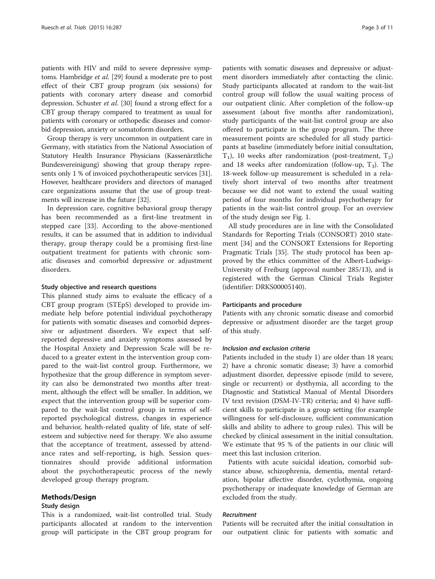patients with HIV and mild to severe depressive symptoms. Hambridge et al. [[29\]](#page-10-0) found a moderate pre to post effect of their CBT group program (six sessions) for patients with coronary artery disease and comorbid depression. Schuster et al. [\[30](#page-10-0)] found a strong effect for a CBT group therapy compared to treatment as usual for patients with coronary or orthopedic diseases and comorbid depression, anxiety or somatoform disorders.

Group therapy is very uncommon in outpatient care in Germany, with statistics from the National Association of Statutory Health Insurance Physicians (Kassenärztliche Bundesvereinigung) showing that group therapy represents only 1 % of invoiced psychotherapeutic services [[31](#page-10-0)]. However, healthcare providers and directors of managed care organizations assume that the use of group treatments will increase in the future [\[32](#page-10-0)].

In depression care, cognitive behavioral group therapy has been recommended as a first-line treatment in stepped care [\[33\]](#page-10-0). According to the above-mentioned results, it can be assumed that in addition to individual therapy, group therapy could be a promising first-line outpatient treatment for patients with chronic somatic diseases and comorbid depressive or adjustment disorders.

#### Study objective and research questions

This planned study aims to evaluate the efficacy of a CBT group program (STEpS) developed to provide immediate help before potential individual psychotherapy for patients with somatic diseases and comorbid depressive or adjustment disorders. We expect that selfreported depressive and anxiety symptoms assessed by the Hospital Anxiety and Depression Scale will be reduced to a greater extent in the intervention group compared to the wait-list control group. Furthermore, we hypothesize that the group difference in symptom severity can also be demonstrated two months after treatment, although the effect will be smaller. In addition, we expect that the intervention group will be superior compared to the wait-list control group in terms of selfreported psychological distress, changes in experience and behavior, health-related quality of life, state of selfesteem and subjective need for therapy. We also assume that the acceptance of treatment, assessed by attendance rates and self-reporting, is high. Session questionnaires should provide additional information about the psychotherapeutic process of the newly developed group therapy program.

# Methods/Design

#### Study design

This is a randomized, wait-list controlled trial. Study participants allocated at random to the intervention group will participate in the CBT group program for

patients with somatic diseases and depressive or adjustment disorders immediately after contacting the clinic. Study participants allocated at random to the wait-list control group will follow the usual waiting process of our outpatient clinic. After completion of the follow-up assessment (about five months after randomization), study participants of the wait-list control group are also offered to participate in the group program. The three measurement points are scheduled for all study participants at baseline (immediately before initial consultation,  $T_1$ ), 10 weeks after randomization (post-treatment,  $T_2$ ) and 18 weeks after randomization (follow-up,  $T_3$ ). The 18-week follow-up measurement is scheduled in a relatively short interval of two months after treatment because we did not want to extend the usual waiting period of four months for individual psychotherapy for patients in the wait-list control group. For an overview of the study design see Fig. [1](#page-3-0).

All study procedures are in line with the Consolidated Standards for Reporting Trials (CONSORT) 2010 statement [[34\]](#page-10-0) and the CONSORT Extensions for Reporting Pragmatic Trials [\[35](#page-10-0)]. The study protocol has been approved by the ethics committee of the Albert-Ludwigs-University of Freiburg (approval number 285/13), and is registered with the German Clinical Trials Register (identifier: DRKS00005140).

#### Participants and procedure

Patients with any chronic somatic disease and comorbid depressive or adjustment disorder are the target group of this study.

# Inclusion and exclusion criteria

Patients included in the study 1) are older than 18 years; 2) have a chronic somatic disease; 3) have a comorbid adjustment disorder, depressive episode (mild to severe, single or recurrent) or dysthymia, all according to the Diagnostic and Statistical Manual of Mental Disorders IV text revision (DSM-IV-TR) criteria; and 4) have sufficient skills to participate in a group setting (for example willingness for self-disclosure, sufficient communication skills and ability to adhere to group rules). This will be checked by clinical assessment in the initial consultation. We estimate that 95 % of the patients in our clinic will meet this last inclusion criterion.

Patients with acute suicidal ideation, comorbid substance abuse, schizophrenia, dementia, mental retardation, bipolar affective disorder, cyclothymia, ongoing psychotherapy or inadequate knowledge of German are excluded from the study.

#### Recruitment

Patients will be recruited after the initial consultation in our outpatient clinic for patients with somatic and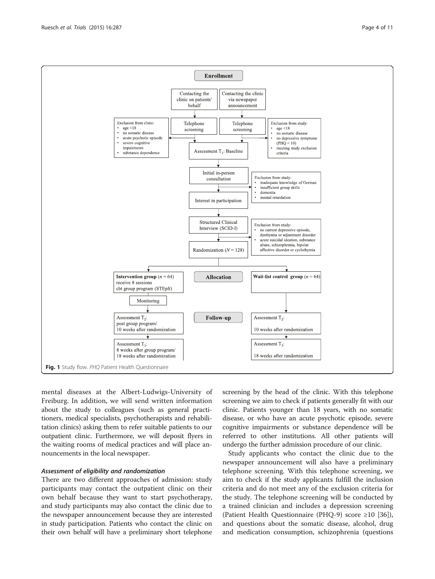<span id="page-3-0"></span>

mental diseases at the Albert-Ludwigs-University of Freiburg. In addition, we will send written information about the study to colleagues (such as general practitioners, medical specialists, psychotherapists and rehabilitation clinics) asking them to refer suitable patients to our outpatient clinic. Furthermore, we will deposit flyers in the waiting rooms of medical practices and will place announcements in the local newspaper.

# Assessment of eligibility and randomization

There are two different approaches of admission: study participants may contact the outpatient clinic on their own behalf because they want to start psychotherapy, and study participants may also contact the clinic due to the newspaper announcement because they are interested in study participation. Patients who contact the clinic on their own behalf will have a preliminary short telephone screening by the head of the clinic. With this telephone screening we aim to check if patients generally fit with our clinic. Patients younger than 18 years, with no somatic disease, or who have an acute psychotic episode, severe cognitive impairments or substance dependence will be referred to other institutions. All other patients will undergo the further admission procedure of our clinic.

Study applicants who contact the clinic due to the newspaper announcement will also have a preliminary telephone screening. With this telephone screening, we aim to check if the study applicants fulfill the inclusion criteria and do not meet any of the exclusion criteria for the study. The telephone screening will be conducted by a trained clinician and includes a depression screening (Patient Health Questionnaire (PHQ-9) score ≥10 [\[36](#page-10-0)]), and questions about the somatic disease, alcohol, drug and medication consumption, schizophrenia (questions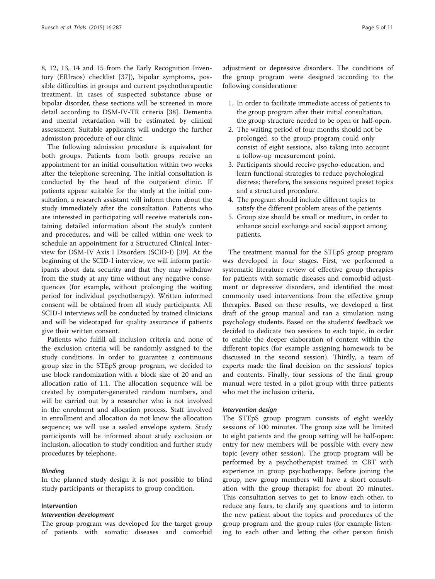8, 12, 13, 14 and 15 from the Early Recognition Inventory (ERIraos) checklist [[37\]](#page-10-0)), bipolar symptoms, possible difficulties in groups and current psychotherapeutic treatment. In cases of suspected substance abuse or bipolar disorder, these sections will be screened in more detail according to DSM-IV-TR criteria [\[38](#page-10-0)]. Dementia and mental retardation will be estimated by clinical assessment. Suitable applicants will undergo the further admission procedure of our clinic.

The following admission procedure is equivalent for both groups. Patients from both groups receive an appointment for an initial consultation within two weeks after the telephone screening. The initial consultation is conducted by the head of the outpatient clinic. If patients appear suitable for the study at the initial consultation, a research assistant will inform them about the study immediately after the consultation. Patients who are interested in participating will receive materials containing detailed information about the study's content and procedures, and will be called within one week to schedule an appointment for a Structured Clinical Interview for DSM-IV Axis I Disorders (SCID-I) [\[39\]](#page-10-0). At the beginning of the SCID-I interview, we will inform participants about data security and that they may withdraw from the study at any time without any negative consequences (for example, without prolonging the waiting period for individual psychotherapy). Written informed consent will be obtained from all study participants. All SCID-I interviews will be conducted by trained clinicians and will be videotaped for quality assurance if patients give their written consent.

Patients who fulfill all inclusion criteria and none of the exclusion criteria will be randomly assigned to the study conditions. In order to guarantee a continuous group size in the STEpS group program, we decided to use block randomization with a block size of 20 and an allocation ratio of 1:1. The allocation sequence will be created by computer-generated random numbers, and will be carried out by a researcher who is not involved in the enrolment and allocation process. Staff involved in enrollment and allocation do not know the allocation sequence; we will use a sealed envelope system. Study participants will be informed about study exclusion or inclusion, allocation to study condition and further study procedures by telephone.

# Blinding

In the planned study design it is not possible to blind study participants or therapists to group condition.

#### Intervention

#### Intervention development

The group program was developed for the target group of patients with somatic diseases and comorbid

adjustment or depressive disorders. The conditions of the group program were designed according to the following considerations:

- 1. In order to facilitate immediate access of patients to the group program after their initial consultation, the group structure needed to be open or half-open.
- 2. The waiting period of four months should not be prolonged, so the group program could only consist of eight sessions, also taking into account a follow-up measurement point.
- 3. Participants should receive psycho-education, and learn functional strategies to reduce psychological distress; therefore, the sessions required preset topics and a structured procedure.
- 4. The program should include different topics to satisfy the different problem areas of the patients.
- 5. Group size should be small or medium, in order to enhance social exchange and social support among patients.

The treatment manual for the STEpS group program was developed in four stages. First, we performed a systematic literature review of effective group therapies for patients with somatic diseases and comorbid adjustment or depressive disorders, and identified the most commonly used interventions from the effective group therapies. Based on these results, we developed a first draft of the group manual and ran a simulation using psychology students. Based on the students' feedback we decided to dedicate two sessions to each topic, in order to enable the deeper elaboration of content within the different topics (for example assigning homework to be discussed in the second session). Thirdly, a team of experts made the final decision on the sessions' topics and contents. Finally, four sessions of the final group manual were tested in a pilot group with three patients who met the inclusion criteria.

### Intervention design

The STEpS group program consists of eight weekly sessions of 100 minutes. The group size will be limited to eight patients and the group setting will be half-open: entry for new members will be possible with every new topic (every other session). The group program will be performed by a psychotherapist trained in CBT with experience in group psychotherapy. Before joining the group, new group members will have a short consultation with the group therapist for about 20 minutes. This consultation serves to get to know each other, to reduce any fears, to clarify any questions and to inform the new patient about the topics and procedures of the group program and the group rules (for example listening to each other and letting the other person finish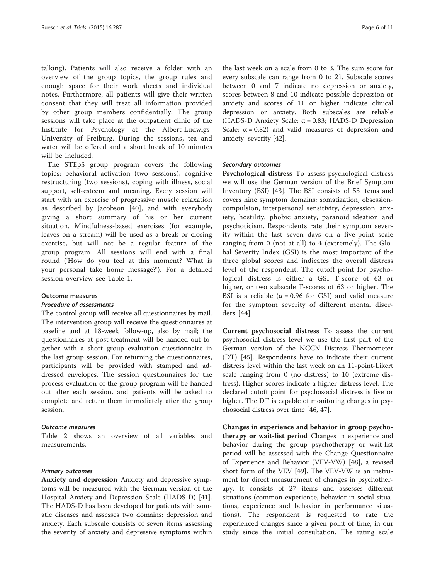talking). Patients will also receive a folder with an overview of the group topics, the group rules and enough space for their work sheets and individual notes. Furthermore, all patients will give their written consent that they will treat all information provided by other group members confidentially. The group sessions will take place at the outpatient clinic of the Institute for Psychology at the Albert-Ludwigs-University of Freiburg. During the sessions, tea and water will be offered and a short break of 10 minutes will be included.

The STEpS group program covers the following topics: behavioral activation (two sessions), cognitive restructuring (two sessions), coping with illness, social support, self-esteem and meaning. Every session will start with an exercise of progressive muscle relaxation as described by Jacobson [\[40](#page-10-0)], and with everybody giving a short summary of his or her current situation. Mindfulness-based exercises (for example, leaves on a stream) will be used as a break or closing exercise, but will not be a regular feature of the group program. All sessions will end with a final round ('How do you feel at this moment? What is your personal take home message?'). For a detailed session overview see Table [1](#page-6-0).

### Outcome measures

#### Procedure of assessments

The control group will receive all questionnaires by mail. The intervention group will receive the questionnaires at baseline and at 18-week follow-up, also by mail; the questionnaires at post-treatment will be handed out together with a short group evaluation questionnaire in the last group session. For returning the questionnaires, participants will be provided with stamped and addressed envelopes. The session questionnaires for the process evaluation of the group program will be handed out after each session, and patients will be asked to complete and return them immediately after the group session.

# Outcome measures

Table [2](#page-7-0) shows an overview of all variables and measurements.

# Primary outcomes

Anxiety and depression Anxiety and depressive symptoms will be measured with the German version of the Hospital Anxiety and Depression Scale (HADS-D) [\[41](#page-10-0)]. The HADS-D has been developed for patients with somatic diseases and assesses two domains: depression and anxiety. Each subscale consists of seven items assessing the severity of anxiety and depressive symptoms within

the last week on a scale from 0 to 3. The sum score for every subscale can range from 0 to 21. Subscale scores between 0 and 7 indicate no depression or anxiety, scores between 8 and 10 indicate possible depression or anxiety and scores of 11 or higher indicate clinical depression or anxiety. Both subscales are reliable (HADS-D Anxiety Scale:  $\alpha = 0.83$ ; HADS-D Depression Scale:  $\alpha = 0.82$ ) and valid measures of depression and anxiety severity [[42\]](#page-10-0).

#### Secondary outcomes

Psychological distress To assess psychological distress we will use the German version of the Brief Symptom Inventory (BSI) [\[43](#page-10-0)]. The BSI consists of 53 items and covers nine symptom domains: somatization, obsessioncompulsion, interpersonal sensitivity, depression, anxiety, hostility, phobic anxiety, paranoid ideation and psychoticism. Respondents rate their symptom severity within the last seven days on a five-point scale ranging from 0 (not at all) to 4 (extremely). The Global Severity Index (GSI) is the most important of the three global scores and indicates the overall distress level of the respondent. The cutoff point for psychological distress is either a GSI T-score of 63 or higher, or two subscale T-scores of 63 or higher. The BSI is a reliable ( $\alpha$  = 0.96 for GSI) and valid measure for the symptom severity of different mental disorders [[44\]](#page-10-0).

Current psychosocial distress To assess the current psychosocial distress level we use the first part of the German version of the NCCN Distress Thermometer (DT) [\[45\]](#page-10-0). Respondents have to indicate their current distress level within the last week on an 11-point-Likert scale ranging from 0 (no distress) to 10 (extreme distress). Higher scores indicate a higher distress level. The declared cutoff point for psychosocial distress is five or higher. The DT is capable of monitoring changes in psychosocial distress over time [[46](#page-10-0), [47](#page-10-0)].

Changes in experience and behavior in group psychotherapy or wait-list period Changes in experience and behavior during the group psychotherapy or wait-list period will be assessed with the Change Questionnaire of Experience and Behavior (VEV-VW) [[48\]](#page-10-0), a revised short form of the VEV [[49\]](#page-10-0). The VEV-VW is an instrument for direct measurement of changes in psychotherapy. It consists of 27 items and assesses different situations (common experience, behavior in social situations, experience and behavior in performance situations). The respondent is requested to rate the experienced changes since a given point of time, in our study since the initial consultation. The rating scale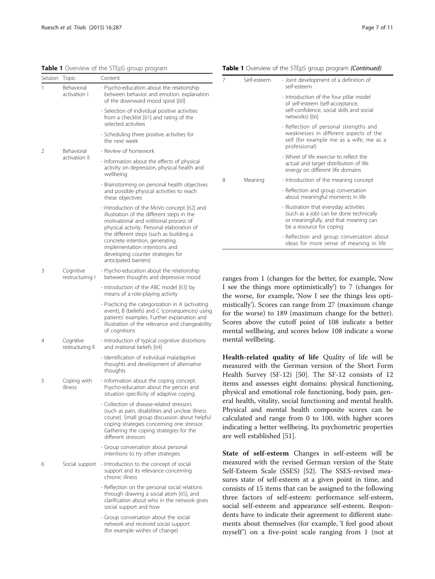<span id="page-6-0"></span>Table 1 Overview of the STEpS group program

| Session | Topic                         | Content                                                                                                                                                                                                                                                                                                                                                       | 7                                 |
|---------|-------------------------------|---------------------------------------------------------------------------------------------------------------------------------------------------------------------------------------------------------------------------------------------------------------------------------------------------------------------------------------------------------------|-----------------------------------|
| 1       | Behavioral<br>activation      | - Psycho-education about the relationship<br>between behavior and emotion: explanation<br>of the downward mood spiral [60]                                                                                                                                                                                                                                    |                                   |
|         |                               | - Selection of individual positive activities<br>from a checklist [61] and rating of the<br>selected activities                                                                                                                                                                                                                                               |                                   |
|         |                               | - Scheduling three positive activities for<br>the next week                                                                                                                                                                                                                                                                                                   |                                   |
| 2       | Behavioral<br>activation II   | - Review of homework                                                                                                                                                                                                                                                                                                                                          |                                   |
|         |                               | - Information about the effects of physical<br>activity on depression, physical health and<br>wellbeing                                                                                                                                                                                                                                                       |                                   |
|         |                               | - Brainstorming on personal health objectives<br>and possible physical activities to reach<br>these objectives                                                                                                                                                                                                                                                | 8                                 |
|         |                               | - Introduction of the MoVo concept [62] and<br>illustration of the different steps in the<br>motivational and volitional process of<br>physical activity. Personal elaboration of<br>the different steps (such as building a<br>concrete intention, generating<br>implementation intentions and<br>developing counter strategies for<br>anticipated barriers) |                                   |
| 3       | Cognitive<br>restructuring    | - Psycho-education about the relationship<br>between thoughts and depressive mood                                                                                                                                                                                                                                                                             | ran                               |
|         |                               | - Introduction of the ABC model [63] by<br>means of a role-playing activity                                                                                                                                                                                                                                                                                   | I se<br>the                       |
|         |                               | - Practicing the categorization in A (activating<br>event), B (beliefs) and C (consequences) using<br>patients' examples. Further explanation and<br>illustration of the relevance and changeability<br>of cognitions                                                                                                                                         | mis<br>for<br>Sco<br>me           |
| 4       | Cognitive<br>restructuring II | - Introduction of typical cognitive distortions<br>and irrational beliefs [64]                                                                                                                                                                                                                                                                                | me                                |
|         |                               | - Identification of individual maladaptive<br>thoughts and development of alternative<br>thoughts                                                                                                                                                                                                                                                             | He<br>me<br>Hea                   |
| 5       | Coping with<br>illness        | - Information about the coping concept.<br>Psycho-education about the person and<br>situation specificity of adaptive coping                                                                                                                                                                                                                                  | iter<br>phy                       |
|         |                               | - Collection of disease-related stressors<br>(such as pain, disabilities and unclear illness<br>course). Small group discussion about helpful<br>coping strategies concerning one stressor.<br>Gathering the coping strategies for the<br>different stressors                                                                                                 | eral<br>Phy<br>calo<br>ind<br>are |
|         |                               | - Group conversation about personal<br>intentions to try other strategies                                                                                                                                                                                                                                                                                     | Sta                               |
| 6       | Social support                | - Introduction to the concept of social<br>support and its relevance concerning<br>chronic illness                                                                                                                                                                                                                                                            | me<br>Seli<br>sur                 |
|         |                               | - Reflection on the personal social relations<br>through drawing a social atom [65], and<br>clarification about who in the network gives<br>social support and how                                                                                                                                                                                            | con<br>thr<br>soc                 |
|         |                               | - Group conversation about the social<br>natwork and received social support                                                                                                                                                                                                                                                                                  | den<br>mer                        |

r support (for example wishes of change)

ges from 1 (changes for the better, for example, 'Now ee the things more optimistically') to 7 (changes for worse, for example, 'Now I see the things less optistically'). Scores can range from 27 (maximum change the worse) to 189 (maximum change for the better). ores above the cutoff point of 108 indicate a better mental wellbeing, and scores below 108 indicate a worse ntal wellbeing.

health-related quality of life Quality of life will be asured with the German version of the Short Form alth Survey (SF-12)  $[50]$ . The SF-12 consists of 12 ms and assesses eight domains: physical functioning, ysical and emotional role functioning, body pain, gen-I health, vitality, social functioning and mental health. ysical and mental health composite scores can be culated and range from 0 to 100, with higher scores licating a better wellbeing. Its psychometric properties well established [\[51](#page-10-0)].

ate of self-esteem Changes in self-esteem will be asured with the revised German version of the State f-Esteem Scale (SSES) [[52](#page-10-0)]. The SSES-revised meares state of self-esteem at a given point in time, and nsists of 15 items that can be assigned to the following ree factors of self-esteem: performance self-esteem, cial self-esteem and appearance self-esteem. Responnts have to indicate their agreement to different statements about themselves (for example, 'I feel good about myself') on a five-point scale ranging from 1 (not at

# Table 1 Overview of the STEpS group program (Continued)

| 7 | Self-esteem | - Joint development of a definition of<br>self-esteem                                                                                                   |
|---|-------------|---------------------------------------------------------------------------------------------------------------------------------------------------------|
|   |             | - Introduction of the four pillar model<br>of self-esteem (self-acceptance,<br>self-confidence, social skills and social<br>networks) [66]              |
|   |             | - Reflection of personal strengths and<br>weaknesses in different aspects of the<br>self (for example me as a wife, me as a<br>professional)            |
|   |             | - Wheel of life exercise to reflect the<br>actual and target distribution of life<br>energy on different life domains                                   |
| 8 | Meaning     | - Introduction of the meaning concept                                                                                                                   |
|   |             | - Reflection and group conversation<br>about meaningful moments in life                                                                                 |
|   |             | - Illustration that everyday activities<br>(such as a job) can be done technically<br>or meaningfully, and that meaning can<br>be a resource for coping |
|   |             | - Reflection and group conversation about<br>ideas for more sense of meaning in life                                                                    |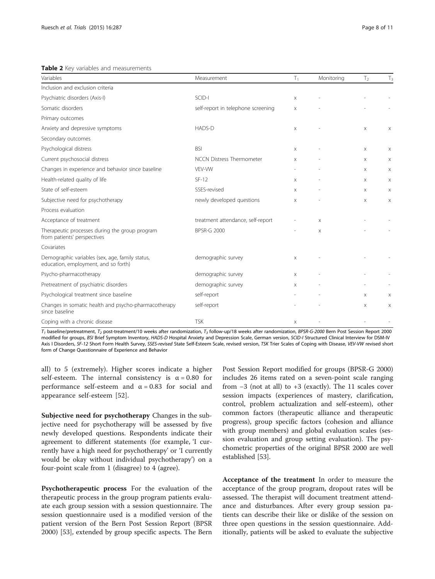<span id="page-7-0"></span>Table 2 Key variables and measurements

| Variables                                                                               | Measurement                        | $T_1$                 | Monitoring | T <sub>2</sub> | T. |
|-----------------------------------------------------------------------------------------|------------------------------------|-----------------------|------------|----------------|----|
| Inclusion and exclusion criteria                                                        |                                    |                       |            |                |    |
| Psychiatric disorders (Axis-I)                                                          | SCID-I                             | X                     |            |                |    |
| Somatic disorders                                                                       | self-report in telephone screening | $\boldsymbol{\times}$ |            |                |    |
| Primary outcomes                                                                        |                                    |                       |            |                |    |
| Anxiety and depressive symptoms                                                         | HADS-D                             | $\boldsymbol{\times}$ |            | $\mathsf X$    | X  |
| Secondary outcomes                                                                      |                                    |                       |            |                |    |
| Psychological distress                                                                  | <b>BSI</b>                         | X                     |            | X              | X  |
| Current psychosocial distress                                                           | <b>NCCN Distress Thermometer</b>   | $\times$              |            | $\times$       | X  |
| Changes in experience and behavior since baseline                                       | VEV-VW                             |                       |            | $\times$       | X  |
| Health-related quality of life                                                          | $SF-12$                            | X                     |            | $\times$       | X  |
| State of self-esteem                                                                    | SSES-revised                       | X                     |            | $\times$       | X  |
| Subjective need for psychotherapy                                                       | newly developed questions          | X                     |            | $\times$       | X  |
| Process evaluation                                                                      |                                    |                       |            |                |    |
| Acceptance of treatment                                                                 | treatment attendance, self-report  |                       | X          |                |    |
| Therapeutic processes during the group program<br>from patients' perspectives           | <b>BPSR-G 2000</b>                 |                       | $\times$   |                |    |
| Covariates                                                                              |                                    |                       |            |                |    |
| Demographic variables (sex, age, family status,<br>education, employment, and so forth) | demographic survey                 | $\boldsymbol{\times}$ |            |                |    |
| Psycho-pharmacotherapy                                                                  | demographic survey                 | $\times$              |            |                |    |
| Pretreatment of psychiatric disorders                                                   | demographic survey                 | X                     |            |                |    |
| Psychological treatment since baseline                                                  | self-report                        |                       |            | $\times$       | X  |
| Changes in somatic health and psycho-pharmacotherapy<br>since baseline                  | self-report                        |                       |            | $\times$       | X  |
| Coping with a chronic disease                                                           | <b>TSK</b>                         | X                     |            |                |    |

 $T_1$  baseline/pretreatment,  $T_2$  post-treatment/10 weeks after randomization,  $T_3$  follow-up/18 weeks after randomization, BPSR-G-2000 Bern Post Session Report 2000 modified for groups, BSI Brief Symptom Inventory, HADS-D Hospital Anxiety and Depression Scale, German version, SCID-I Structured Clinical Interview for DSM-IV Axis I Disorders, SF-12 Short Form Health Survey, SSES-revised State Self-Esteem Scale, revised version, TSK Trier Scales of Coping with Disease, VEV-VW revised short form of Change Questionnaire of Experience and Behavior

all) to 5 (extremely). Higher scores indicate a higher self-esteem. The internal consistency is  $\alpha = 0.80$  for performance self-esteem and α = 0.83 for social and appearance self-esteem [\[52](#page-10-0)].

Subjective need for psychotherapy Changes in the subjective need for psychotherapy will be assessed by five newly developed questions. Respondents indicate their agreement to different statements (for example, 'I currently have a high need for psychotherapy' or 'I currently would be okay without individual psychotherapy') on a four-point scale from 1 (disagree) to 4 (agree).

Psychotherapeutic process For the evaluation of the therapeutic process in the group program patients evaluate each group session with a session questionnaire. The session questionnaire used is a modified version of the patient version of the Bern Post Session Report (BPSR 2000) [[53\]](#page-10-0), extended by group specific aspects. The Bern

Post Session Report modified for groups (BPSR-G 2000) includes 26 items rated on a seven-point scale ranging from −3 (not at all) to +3 (exactly). The 11 scales cover session impacts (experiences of mastery, clarification, control, problem actualization and self-esteem), other common factors (therapeutic alliance and therapeutic progress), group specific factors (cohesion and alliance with group members) and global evaluation scales (session evaluation and group setting evaluation). The psychometric properties of the original BPSR 2000 are well established [[53](#page-10-0)].

Acceptance of the treatment In order to measure the acceptance of the group program, dropout rates will be assessed. The therapist will document treatment attendance and disturbances. After every group session patients can describe their like or dislike of the session on three open questions in the session questionnaire. Additionally, patients will be asked to evaluate the subjective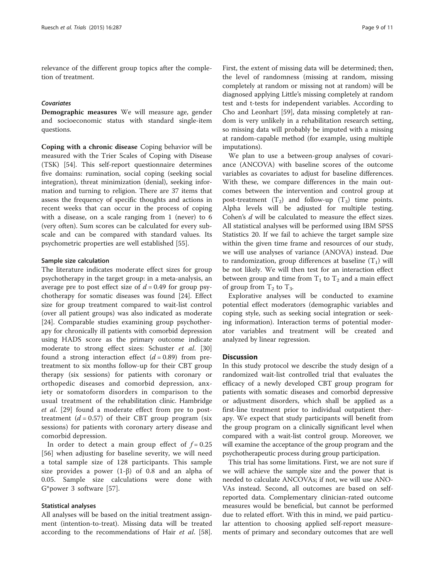relevance of the different group topics after the completion of treatment.

### Covariates

Demographic measures We will measure age, gender and socioeconomic status with standard single-item questions.

Coping with a chronic disease Coping behavior will be measured with the Trier Scales of Coping with Disease (TSK) [\[54](#page-10-0)]. This self-report questionnaire determines five domains: rumination, social coping (seeking social integration), threat minimization (denial), seeking information and turning to religion. There are 37 items that assess the frequency of specific thoughts and actions in recent weeks that can occur in the process of coping with a disease, on a scale ranging from 1 (never) to 6 (very often). Sum scores can be calculated for every subscale and can be compared with standard values. Its psychometric properties are well established [[55\]](#page-10-0).

### Sample size calculation

The literature indicates moderate effect sizes for group psychotherapy in the target group: in a meta-analysis, an average pre to post effect size of  $d = 0.49$  for group psychotherapy for somatic diseases was found [[24](#page-10-0)]. Effect size for group treatment compared to wait-list control (over all patient groups) was also indicated as moderate [[24\]](#page-10-0). Comparable studies examining group psychotherapy for chronically ill patients with comorbid depression using HADS score as the primary outcome indicate moderate to strong effect sizes: Schuster et al. [[30](#page-10-0)] found a strong interaction effect  $(d = 0.89)$  from pretreatment to six months follow-up for their CBT group therapy (six sessions) for patients with coronary or orthopedic diseases and comorbid depression, anxiety or somatoform disorders in comparison to the usual treatment of the rehabilitation clinic. Hambridge et al. [[29](#page-10-0)] found a moderate effect from pre to posttreatment  $(d = 0.57)$  of their CBT group program (six sessions) for patients with coronary artery disease and comorbid depression.

In order to detect a main group effect of  $f = 0.25$ [[56](#page-10-0)] when adjusting for baseline severity, we will need a total sample size of 128 participants. This sample size provides a power (1-β) of 0.8 and an alpha of 0.05. Sample size calculations were done with G\*power 3 software [[57\]](#page-10-0).

#### Statistical analyses

All analyses will be based on the initial treatment assignment (intention-to-treat). Missing data will be treated according to the recommendations of Hair et al. [\[58](#page-10-0)].

First, the extent of missing data will be determined; then, the level of randomness (missing at random, missing completely at random or missing not at random) will be diagnosed applying Little's missing completely at random test and t-tests for independent variables. According to Cho and Leonhart [[59\]](#page-10-0), data missing completely at random is very unlikely in a rehabilitation research setting, so missing data will probably be imputed with a missing at random-capable method (for example, using multiple imputations).

We plan to use a between-group analyses of covariance (ANCOVA) with baseline scores of the outcome variables as covariates to adjust for baseline differences. With these, we compare differences in the main outcomes between the intervention and control group at post-treatment  $(T_2)$  and follow-up  $(T_3)$  time points. Alpha levels will be adjusted for multiple testing. Cohen's d will be calculated to measure the effect sizes. All statistical analyses will be performed using IBM SPSS Statistics 20. If we fail to achieve the target sample size within the given time frame and resources of our study, we will use analyses of variance (ANOVA) instead. Due to randomization, group differences at baseline  $(T_1)$  will be not likely. We will then test for an interaction effect between group and time from  $T_1$  to  $T_2$  and a main effect of group from  $T_2$  to  $T_3$ .

Explorative analyses will be conducted to examine potential effect moderators (demographic variables and coping style, such as seeking social integration or seeking information). Interaction terms of potential moderator variables and treatment will be created and analyzed by linear regression.

#### **Discussion**

In this study protocol we describe the study design of a randomized wait-list controlled trial that evaluates the efficacy of a newly developed CBT group program for patients with somatic diseases and comorbid depressive or adjustment disorders, which shall be applied as a first-line treatment prior to individual outpatient therapy. We expect that study participants will benefit from the group program on a clinically significant level when compared with a wait-list control group. Moreover, we will examine the acceptance of the group program and the psychotherapeutic process during group participation.

This trial has some limitations. First, we are not sure if we will achieve the sample size and the power that is needed to calculate ANCOVAs; if not, we will use ANO-VAs instead. Second, all outcomes are based on selfreported data. Complementary clinician-rated outcome measures would be beneficial, but cannot be performed due to related effort. With this in mind, we paid particular attention to choosing applied self-report measurements of primary and secondary outcomes that are well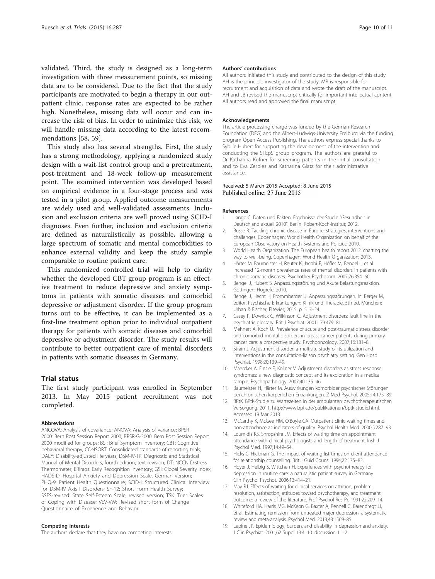<span id="page-9-0"></span>validated. Third, the study is designed as a long-term investigation with three measurement points, so missing data are to be considered. Due to the fact that the study participants are motivated to begin a therapy in our outpatient clinic, response rates are expected to be rather high. Nonetheless, missing data will occur and can increase the risk of bias. In order to minimize this risk, we will handle missing data according to the latest recommendations [\[58](#page-10-0), [59](#page-10-0)].

This study also has several strengths. First, the study has a strong methodology, applying a randomized study design with a wait-list control group and a pretreatment, post-treatment and 18-week follow-up measurement point. The examined intervention was developed based on empirical evidence in a four-stage process and was tested in a pilot group. Applied outcome measurements are widely used and well-validated assessments. Inclusion and exclusion criteria are well proved using SCID-I diagnoses. Even further, inclusion and exclusion criteria are defined as naturalistically as possible, allowing a large spectrum of somatic and mental comorbidities to enhance external validity and keep the study sample comparable to routine patient care.

This randomized controlled trial will help to clarify whether the developed CBT group program is an effective treatment to reduce depressive and anxiety symptoms in patients with somatic diseases and comorbid depressive or adjustment disorder. If the group program turns out to be effective, it can be implemented as a first-line treatment option prior to individual outpatient therapy for patients with somatic diseases and comorbid depressive or adjustment disorder. The study results will contribute to better outpatient care of mental disorders in patients with somatic diseases in Germany.

# Trial status

The first study participant was enrolled in September 2013. In May 2015 patient recruitment was not completed.

#### Abbreviations

ANCOVA: Analysis of covariance; ANOVA: Analysis of variance; BPSR 2000: Bern Post Session Report 2000; BPSR-G-2000: Bern Post Session Report 2000 modified for groups; BSI: Brief Symptom Inventory; CBT: Cognitive behavioral therapy; CONSORT: Consolidated standards of reporting trials; DALY: Disability-adjusted life years; DSM-IV-TR: Diagnostic and Statistical Manual of Mental Disorders, fourth edition, text revision; DT: NCCN Distress Thermometer; ERIraos: Early Recognition Inventory; GSI: Global Severity Index; HADS-D: Hospital Anxiety and Depression Scale, German version; PHQ-9: Patient Health Questionnaire; SCID-I: Structured Clinical Interview for DSM-IV Axis I Disorders; SF-12: Short Form Health Survey; SSES-revised: State Self-Esteem Scale, revised version; TSK: Trier Scales of Coping with Disease; VEV-VW: Revised short form of Change Questionnaire of Experience and Behavior.

#### Competing interests

The authors declare that they have no competing interests.

#### Authors' contributions

All authors initiated this study and contributed to the design of this study. AH is the principle investigator of the study. MR is responsible for recruitment and acquisition of data and wrote the draft of the manuscript. AH and JB revised the manuscript critically for important intellectual content. All authors read and approved the final manuscript.

#### Acknowledgements

The article processing charge was funded by the German Research Foundation (DFG) and the Albert-Ludwigs-University Freiburg via the funding program Open Access Publishing. The authors express special thanks to Sybille Hubert for supporting the development of the intervention and conducting the STEpS group program. The authors are grateful to Dr Katharina Kufner for screening patients in the initial consultation and to Eva Zerpies and Katharina Glatz for their administrative assistance.

#### Received: 5 March 2015 Accepted: 8 June 2015 Published online: 27 June 2015

#### References

- 1. Lange C. Daten und Fakten: Ergebnisse der Studie "Gesundheit in Deutschland aktuell 2010". Berlin: Robert-Koch-Institut; 2012.
- 2. Busse R. Tackling chronic disease in Europe: strategies, interventions and challenges. Copenhagen: World Health Organization on behalf of the European Observatory on Health Systems and Policies; 2010.
- 3. World Health Organization. The European health report 2012: charting the way to well-being. Copenhagen: World Health Organization; 2013.
- 4. Härter M, Baumeister H, Reuter K, Jacobi F, Höfler M, Bengel J, et al. Increased 12-month prevalence rates of mental disorders in patients with chronic somatic diseases. Psychother Psychosom. 2007;76:354–60.
- 5. Bengel J, Hubert S. Anpassungsstörung und Akute Belastungsreaktion. Göttingen: Hogrefe; 2010.
- 6. Bengel J, Hecht H, Frommberger U. Anpassungsstörungen. In: Berger M, editor. Psychische Erkrankungen: Klinik und Therapie. 5th ed. München: Urban & Fischer, Elsevier; 2015. p. 517–24.
- 7. Casey P, Dowrick C, Wilkinson G. Adjustment disorders: fault line in the psychiatric glossary. Brit J Psychiat. 2001;179:479–81.
- 8. Mehnert A, Koch U. Prevalence of acute and post-traumatic stress disorder and comorbid mental disorders in breast cancer patients during primary cancer care: a prospective study. Psychooncology. 2007;16:181–8.
- 9. Strain J. Adjustment disorder: a multisite study of its utilization and interventions in the consultation-liaison psychiatry setting. Gen Hosp Psychiat. 1998;20:139–49.
- 10. Maercker A, Einsle F, Kollner V. Adjustment disorders as stress response syndromes: a new diagnostic concept and its exploration in a medical sample. Psychopathology. 2007;40:135–46.
- 11. Baumeister H, Härter M. Auswirkungen komorbider psychischer Störungen bei chronischen körperlichen Erkrankungen. Z Med Psychol. 2005;14:175–89.
- 12. BPtK. BPtK-Studie zu Wartezeiten in der ambulanten psychotherapeutischen Versorgung. 2011. [http://www.bptk.de/publikationen/bptk-studie.html.](http://www.bptk.de/publikationen/bptk-studie.html) Accessed 19 Mar 2013.
- 13. McCarthy K, McGee HM, O'Boyle CA. Outpatient clinic waiting times and non-attendance as indicators of quality. Psychol Health Med. 2000;5:287–93.
- 14. Loumidis KS, Shropshire JM. Effects of waiting time on appointment attendance with clinical psychologists and length of treatment. Irish J Psychol Med. 1997;14:49–54.
- 15. Hicks C, Hickman G. The impact of waiting-list times on client attendance for relationship counselling. Brit J Guid Couns. 1994;22:175–82.
- 16. Hoyer J, Helbig S, Wittchen H. Experiences with psychotherapy for depression in routine care: a naturalistic patient survey in Germany. Clin Psychol Psychot. 2006;13:414–21.
- 17. May RJ. Effects of waiting for clinical services on attrition, problem resolution, satisfaction, attitudes toward psychotherapy, and treatment outcome: a review of the literature. Prof Psychol Res Pr. 1991;22:209–14.
- 18. Whiteford HA, Harris MG, McKeon G, Baxter A, Pennell C, Barendregt JJ, et al. Estimating remission from untreated major depression: a systematic review and meta-analysis. Psychol Med. 2013;43:1569–85.
- 19. Lepine JP. Epidemiology, burden, and disability in depression and anxiety. J Clin Psychiat. 2001;62 Suppl 13:4–10. discussion 11–2.